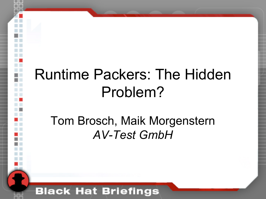### Runtime Packers: The Hidden Problem?

### Tom Brosch, Maik Morgenstern *AV-Test GmbH*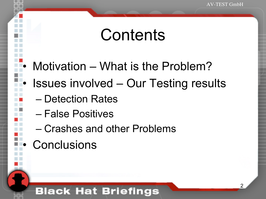### **Contents**

- Motivation What is the Problem?
- Issues involved Our Testing results
	- Detection Rates
	- False Positives
	- Crashes and other Problems
- **Conclusions**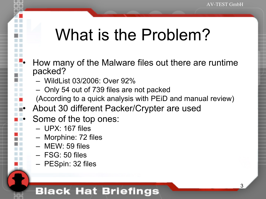# What is the Problem?

- How many of the Malware files out there are runtime packed?
	- WildList 03/2006: Over 92%
	- Only 54 out of 739 files are not packed
	- (According to a quick analysis with PEiD and manual review)
- About 30 different Packer/Crypter are used
- Some of the top ones:
	- UPX: 167 files
	- Morphine: 72 files
	- MEW: 59 files
	- FSG: 50 files
	- PESpin: 32 files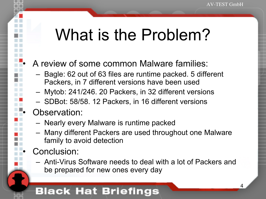## What is the Problem?

#### • A review of some common Malware families:

- Bagle: 62 out of 63 files are runtime packed. 5 different Packers, in 7 different versions have been used
- Mytob: 241/246. 20 Packers, in 32 different versions
- SDBot: 58/58. 12 Packers, in 16 different versions

#### Observation:

- Nearly every Malware is runtime packed
- Many different Packers are used throughout one Malware family to avoid detection
- Conclusion:
	- Anti-Virus Software needs to deal with a lot of Packers and be prepared for new ones every day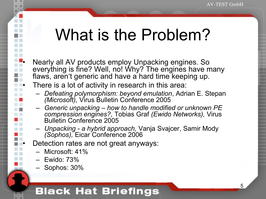# What is the Problem?

- Nearly all AV products employ Unpacking engines. So everything is fine? Well, no! Why? The engines have many flaws, aren't generic and have a hard time keeping up.
- There is a lot of activity in research in this area:
	- *Defeating polymorphism: beyond emulation*, Adrian E. Stepan *(Microsoft),* Virus Bulletin Conference 2005
	- *Generic unpacking how to handle modified or unknown PE compression engines?,* Tobias Graf *(Ewido Networks),* Virus Bulletin Conference 2005
	- *Unpacking a hybrid approach,* Vanja Svajcer, Samir Mody *(Sophos),* Eicar Conference 2006
- Detection rates are not great anyways:
	- Microsoft: 41%
	- Ewido: 73%

H

– Sophos: 30%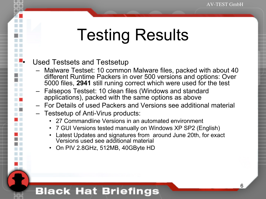# Testing Results

#### Used Testsets and Testsetup

- Malware Testset: 10 common Malware files, packed with about 40 different Runtime Packers in over 500 versions and options: Over 5000 files, **2941** still runing correct which were used for the test
- Falsepos Testset: 10 clean files (Windows and standard applications), packed with the same options as above
- For Details of used Packers and Versions see additional material
- Testsetup of Anti-Virus products:
	- 27 Commandline Versions in an automated environment
	- 7 GUI Versions tested manually on Windows XP SP2 (English)
	- Latest Updates and signatures from around June 20th, for exact Versions used see additional material
	- On PIV 2.8GHz, 512MB, 40GByte HD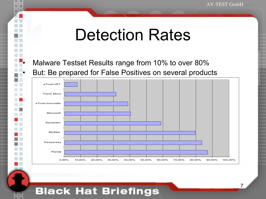• Malware Testset Results range from 10% to over 80%

• But: Be prepared for False Positives on several products

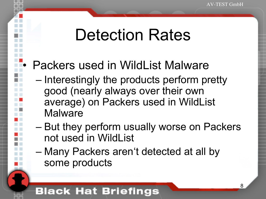### Packers used in WildList Malware

- Interestingly the products perform pretty good (nearly always over their own average) on Packers used in WildList Malware
- But they perform usually worse on Packers not used in WildList
- Many Packers aren't detected at all by some products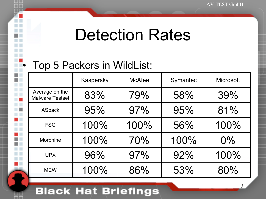### • Top 5 Packers in WildList:

|                                          | Kaspersky | <b>McAfee</b> | Symantec | <b>Microsoft</b> |
|------------------------------------------|-----------|---------------|----------|------------------|
| Average on the<br><b>Malware Testset</b> | 83%       | 79%           | 58%      | 39%              |
| <b>ASpack</b>                            | 95%       | 97%           | 95%      | 81%              |
| <b>FSG</b>                               | 100%      | 100%          | 56%      | 100%             |
| Morphine                                 | 100%      | 70%           | 100%     | $0\%$            |
| <b>UPX</b>                               | 96%       | 97%           | 92%      | 100%             |
| <b>MEW</b>                               | 100%      | 86%           | 53%      | 80%              |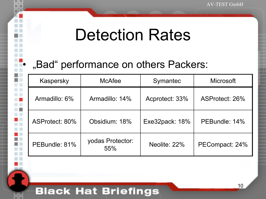### "Bad" performance on others Packers:

| Kaspersky      | <b>McAfee</b>           | Symantec       | <b>Microsoft</b> |
|----------------|-------------------------|----------------|------------------|
| Armadillo: 6%  | Armadillo: 14%          | Acprotect: 33% | ASProtect: 26%   |
| ASProtect: 80% | Obsidium: 18%           | Exe32pack: 18% | PEBundle: 14%    |
| PEBundle: 81%  | yodas Protector:<br>55% | Neolite: 22%   | PECompact: 24%   |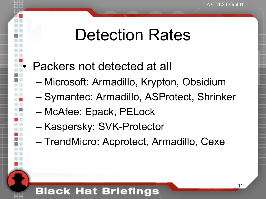### Packers not detected at all

- Microsoft: Armadillo, Krypton, Obsidium
- Symantec: Armadillo, ASProtect, Shrinker
- McAfee: Epack, PELock
- Kaspersky: SVK-Protector
- TrendMicro: Acprotect, Armadillo, Cexe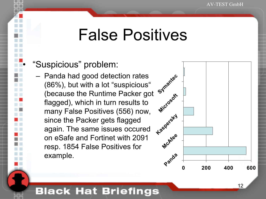### False Positives

#### • "Suspicious" problem:

– Panda had good detection rates (86%), but with a lot "suspicious" (because the Runtime Packer got flagged), which in turn results to many False Positives (556) now, since the Packer gets flagged again. The same issues occured on eSafe and Fortinet with 2091 resp. 1854 False Positives for example.

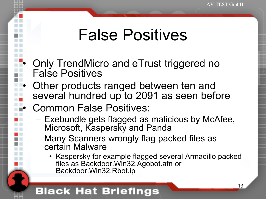## False Positives

- Only TrendMicro and eTrust triggered no False Positives
- Other products ranged between ten and several hundred up to 2091 as seen before
	- Common False Positives:
		- Exebundle gets flagged as malicious by McAfee, Microsoft, Kaspersky and Panda
		- Many Scanners wrongly flag packed files as certain Malware
			- Kaspersky for example flagged several Armadillo packed files as Backdoor.Win32.Agobot.afn or Backdoor.Win32.Rbot.ip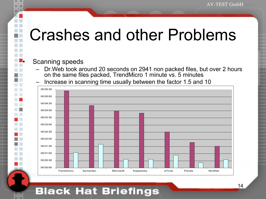# Crashes and other Problems

#### Scanning speeds

- Dr.Web took around 20 seconds on 2941 non packed files, but over 2 hours on the same files packed, TrendMicro 1 minute vs. 5 minutes
- Increase in scanning time usually between the factor 1.5 and 10

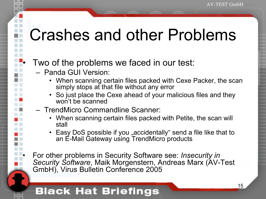# Crashes and other Problems

#### Two of the problems we faced in our test:

- Panda GUI Version:
	- When scanning certain files packed with Cexe Packer, the scan simply stops at that file without any error
	- So just place the Cexe ahead of your malicious files and they won't be scanned
- TrendMicro Commandline Scanner:
	- When scanning certain files packed with Petite, the scan will stall
	- Easy DoS possible if you "accidentally" send a file like that to an E-Mail Gateway using TrendMicro products
- For other problems in Security Software see: *Insecurity in Security Software*, Maik Morgenstern, Andreas Marx (AV-Test GmbH), Virus Bulletin Conference 2005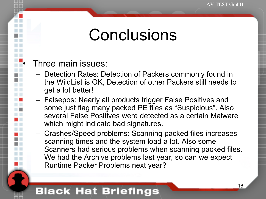### **Conclusions**

#### • Three main issues:

- Detection Rates: Detection of Packers commonly found in the WildList is OK, Detection of other Packers still needs to get a lot better!
- Falsepos: Nearly all products trigger False Positives and some just flag many packed PE files as "Suspicious". Also several False Positives were detected as a certain Malware which might indicate bad signatures.
- Crashes/Speed problems: Scanning packed files increases scanning times and the system load a lot. Also some Scanners had serious problems when scanning packed files. We had the Archive problems last year, so can we expect Runtime Packer Problems next year?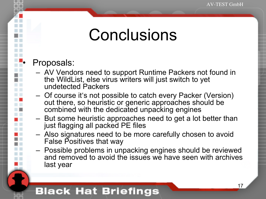### **Conclusions**

#### • Proposals:

- AV Vendors need to support Runtime Packers not found in the WildList, else virus writers will just switch to yet undetected Packers
- Of course it's not possible to catch every Packer (Version) out there, so heuristic or generic approaches should be combined with the dedicated unpacking engines
- But some heuristic approaches need to get a lot better than just flagging all packed PE files
- Also signatures need to be more carefully chosen to avoid False Positives that way
- Possible problems in unpacking engines should be reviewed and removed to avoid the issues we have seen with archives last year